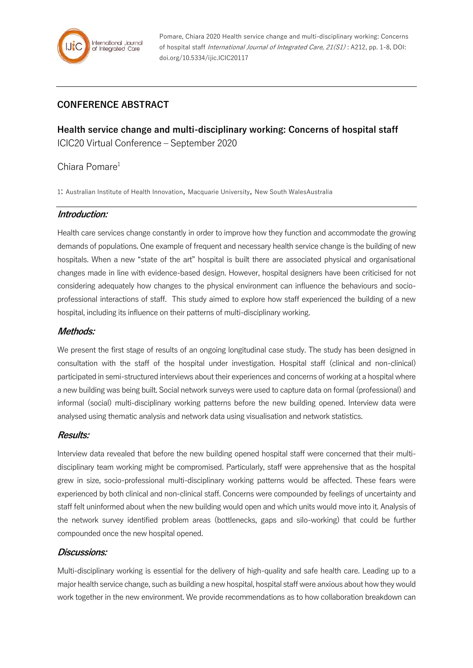

Pomare, Chiara 2020 Health service change and multi-disciplinary working: Concerns of hospital staff International Journal of Integrated Care, 21(S1) : A212, pp. 1-8, DOI: doi.org/10.5334/ijic.ICIC20117

# **CONFERENCE ABSTRACT**

**Health service change and multi-disciplinary working: Concerns of hospital staff** ICIC20 Virtual Conference – September 2020

### Chiara Pomare<sup>1</sup>

1: Australian Institute of Health Innovation, Macquarie University, New South WalesAustralia

#### **Introduction:**

Health care services change constantly in order to improve how they function and accommodate the growing demands of populations. One example of frequent and necessary health service change is the building of new hospitals. When a new "state of the art" hospital is built there are associated physical and organisational changes made in line with evidence-based design. However, hospital designers have been criticised for not considering adequately how changes to the physical environment can influence the behaviours and socioprofessional interactions of staff. This study aimed to explore how staff experienced the building of a new hospital, including its influence on their patterns of multi-disciplinary working.

#### **Methods:**

We present the first stage of results of an ongoing longitudinal case study. The study has been designed in consultation with the staff of the hospital under investigation. Hospital staff (clinical and non-clinical) participated in semi-structured interviews about their experiences and concerns of working at a hospital where a new building was being built. Social network surveys were used to capture data on formal (professional) and informal (social) multi-disciplinary working patterns before the new building opened. Interview data were analysed using thematic analysis and network data using visualisation and network statistics.

#### **Results:**

Interview data revealed that before the new building opened hospital staff were concerned that their multidisciplinary team working might be compromised. Particularly, staff were apprehensive that as the hospital grew in size, socio-professional multi-disciplinary working patterns would be affected. These fears were experienced by both clinical and non-clinical staff. Concerns were compounded by feelings of uncertainty and staff felt uninformed about when the new building would open and which units would move into it. Analysis of the network survey identified problem areas (bottlenecks, gaps and silo-working) that could be further compounded once the new hospital opened.

#### **Discussions:**

Multi-disciplinary working is essential for the delivery of high-quality and safe health care. Leading up to a major health service change, such as building a new hospital, hospital staff were anxious about how they would work together in the new environment. We provide recommendations as to how collaboration breakdown can